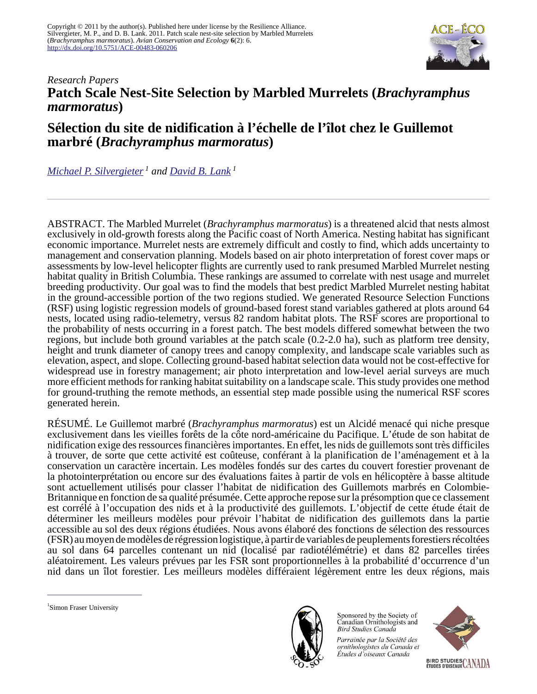

# *Research Papers* **Patch Scale Nest-Site Selection by Marbled Murrelets (***Brachyramphus marmoratus***)**

# **Sélection du site de nidification à l'échelle de l'îlot chez le Guillemot marbré (***Brachyramphus marmoratus***)**

*[Michael P. Silvergieter](mailto:msilvergieter@yahoo.com)<sup>1</sup> and [David B. Lank](mailto:dlank@sfu.ca)<sup>1</sup>*

ABSTRACT. The Marbled Murrelet (*Brachyramphus marmoratus*) is a threatened alcid that nests almost exclusively in old-growth forests along the Pacific coast of North America. Nesting habitat has significant economic importance. Murrelet nests are extremely difficult and costly to find, which adds uncertainty to management and conservation planning. Models based on air photo interpretation of forest cover maps or assessments by low-level helicopter flights are currently used to rank presumed Marbled Murrelet nesting habitat quality in British Columbia. These rankings are assumed to correlate with nest usage and murrelet breeding productivity. Our goal was to find the models that best predict Marbled Murrelet nesting habitat in the ground-accessible portion of the two regions studied. We generated Resource Selection Functions (RSF) using logistic regression models of ground-based forest stand variables gathered at plots around 64 nests, located using radio-telemetry, versus 82 random habitat plots. The RSF scores are proportional to the probability of nests occurring in a forest patch. The best models differed somewhat between the two regions, but include both ground variables at the patch scale (0.2-2.0 ha), such as platform tree density, height and trunk diameter of canopy trees and canopy complexity, and landscape scale variables such as elevation, aspect, and slope. Collecting ground-based habitat selection data would not be cost-effective for widespread use in forestry management; air photo interpretation and low-level aerial surveys are much more efficient methods for ranking habitat suitability on a landscape scale. This study provides one method for ground-truthing the remote methods, an essential step made possible using the numerical RSF scores generated herein.

RÉSUMÉ. Le Guillemot marbré (*Brachyramphus marmoratus*) est un Alcidé menacé qui niche presque exclusivement dans les vieilles forêts de la côte nord-américaine du Pacifique. L'étude de son habitat de nidification exige des ressources financières importantes. En effet, les nids de guillemots sont très difficiles à trouver, de sorte que cette activité est coûteuse, conférant à la planification de l'aménagement et à la conservation un caractère incertain. Les modèles fondés sur des cartes du couvert forestier provenant de la photointerprétation ou encore sur des évaluations faites à partir de vols en hélicoptère à basse altitude sont actuellement utilisés pour classer l'habitat de nidification des Guillemots marbrés en Colombie-Britannique en fonction de sa qualité présumée. Cette approche repose sur la présomption que ce classement est corrélé à l'occupation des nids et à la productivité des guillemots. L'objectif de cette étude était de déterminer les meilleurs modèles pour prévoir l'habitat de nidification des guillemots dans la partie accessible au sol des deux régions étudiées. Nous avons élaboré des fonctions de sélection des ressources (FSR) au moyen de modèles de régression logistique, à partir de variables de peuplements forestiers récoltées au sol dans 64 parcelles contenant un nid (localisé par radiotélémétrie) et dans 82 parcelles tirées aléatoirement. Les valeurs prévues par les FSR sont proportionnelles à la probabilité d'occurrence d'un nid dans un îlot forestier. Les meilleurs modèles différaient légèrement entre les deux régions, mais



Sponsored by the Society of Canadian Ornithologists and **Bird Studies Canada** 

Parrainée par la Société des ornithologistes du Canada et Études d'oiseaux Canada



<sup>&</sup>lt;sup>1</sup>Simon Fraser University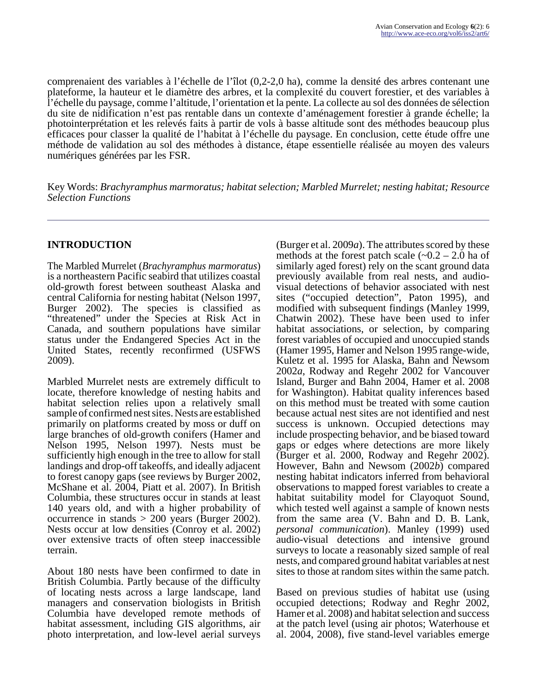comprenaient des variables à l'échelle de l'îlot (0,2-2,0 ha), comme la densité des arbres contenant une plateforme, la hauteur et le diamètre des arbres, et la complexité du couvert forestier, et des variables à l'échelle du paysage, comme l'altitude, l'orientation et la pente. La collecte au sol des données de sélection du site de nidification n'est pas rentable dans un contexte d'aménagement forestier à grande échelle; la photointerprétation et les relevés faits à partir de vols à basse altitude sont des méthodes beaucoup plus efficaces pour classer la qualité de l'habitat à l'échelle du paysage. En conclusion, cette étude offre une méthode de validation au sol des méthodes à distance, étape essentielle réalisée au moyen des valeurs numériques générées par les FSR.

Key Words: *Brachyramphus marmoratus; habitat selection; Marbled Murrelet; nesting habitat; Resource Selection Functions*

# **INTRODUCTION**

The Marbled Murrelet (*Brachyramphus marmoratus*) is a northeastern Pacific seabird that utilizes coastal old-growth forest between southeast Alaska and central California for nesting habitat (Nelson 1997, Burger 2002). The species is classified as "threatened" under the Species at Risk Act in Canada, and southern populations have similar status under the Endangered Species Act in the United States, recently reconfirmed (USFWS 2009).

Marbled Murrelet nests are extremely difficult to locate, therefore knowledge of nesting habits and habitat selection relies upon a relatively small sample of confirmed nest sites. Nests are established primarily on platforms created by moss or duff on large branches of old-growth conifers (Hamer and Nelson 1995, Nelson 1997). Nests must be sufficiently high enough in the tree to allow for stall landings and drop-off takeoffs, and ideally adjacent to forest canopy gaps (see reviews by Burger 2002, McShane et al. 2004, Piatt et al. 2007). In British Columbia, these structures occur in stands at least 140 years old, and with a higher probability of occurrence in stands > 200 years (Burger 2002). Nests occur at low densities (Conroy et al. 2002) over extensive tracts of often steep inaccessible terrain.

About 180 nests have been confirmed to date in British Columbia. Partly because of the difficulty of locating nests across a large landscape, land managers and conservation biologists in British Columbia have developed remote methods of habitat assessment, including GIS algorithms, air photo interpretation, and low-level aerial surveys

(Burger et al. 2009*a*). The attributes scored by these methods at the forest patch scale  $(-0.2 - 2.0)$  ha of similarly aged forest) rely on the scant ground data previously available from real nests, and audiovisual detections of behavior associated with nest sites ("occupied detection", Paton 1995), and modified with subsequent findings (Manley 1999, Chatwin 2002). These have been used to infer habitat associations, or selection, by comparing forest variables of occupied and unoccupied stands (Hamer 1995, Hamer and Nelson 1995 range-wide, Kuletz et al. 1995 for Alaska, Bahn and Newsom 2002*a*, Rodway and Regehr 2002 for Vancouver Island, Burger and Bahn 2004, Hamer et al. 2008 for Washington). Habitat quality inferences based on this method must be treated with some caution because actual nest sites are not identified and nest success is unknown. Occupied detections may include prospecting behavior, and be biased toward gaps or edges where detections are more likely (Burger et al. 2000, Rodway and Regehr 2002). However, Bahn and Newsom (2002*b*) compared nesting habitat indicators inferred from behavioral observations to mapped forest variables to create a habitat suitability model for Clayoquot Sound, which tested well against a sample of known nests from the same area (V. Bahn and D. B. Lank, *personal communication*). Manley (1999) used audio-visual detections and intensive ground surveys to locate a reasonably sized sample of real nests, and compared ground habitat variables at nest sites to those at random sites within the same patch.

Based on previous studies of habitat use (using occupied detections; Rodway and Reghr 2002, Hamer et al. 2008) and habitat selection and success at the patch level (using air photos; Waterhouse et al. 2004, 2008), five stand-level variables emerge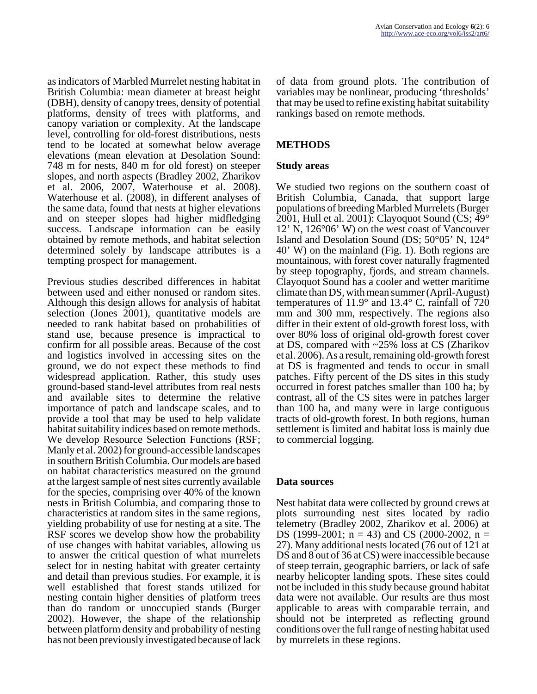as indicators of Marbled Murrelet nesting habitat in British Columbia: mean diameter at breast height (DBH), density of canopy trees, density of potential platforms, density of trees with platforms, and canopy variation or complexity. At the landscape level, controlling for old-forest distributions, nests tend to be located at somewhat below average elevations (mean elevation at Desolation Sound: 748 m for nests, 840 m for old forest) on steeper slopes, and north aspects (Bradley 2002, Zharikov et al. 2006, 2007, Waterhouse et al. 2008). Waterhouse et al. (2008), in different analyses of the same data, found that nests at higher elevations and on steeper slopes had higher midfledging success. Landscape information can be easily obtained by remote methods, and habitat selection determined solely by landscape attributes is a tempting prospect for management.

Previous studies described differences in habitat between used and either nonused or random sites. Although this design allows for analysis of habitat selection (Jones 2001), quantitative models are needed to rank habitat based on probabilities of stand use, because presence is impractical to confirm for all possible areas. Because of the cost and logistics involved in accessing sites on the ground, we do not expect these methods to find widespread application. Rather, this study uses ground-based stand-level attributes from real nests and available sites to determine the relative importance of patch and landscape scales, and to provide a tool that may be used to help validate habitat suitability indices based on remote methods. We develop Resource Selection Functions (RSF; Manly et al. 2002) for ground-accessible landscapes in southern British Columbia. Our models are based on habitat characteristics measured on the ground at the largest sample of nest sites currently available for the species, comprising over 40% of the known nests in British Columbia, and comparing those to characteristics at random sites in the same regions, yielding probability of use for nesting at a site. The RSF scores we develop show how the probability of use changes with habitat variables, allowing us to answer the critical question of what murrelets select for in nesting habitat with greater certainty and detail than previous studies. For example, it is well established that forest stands utilized for nesting contain higher densities of platform trees than do random or unoccupied stands (Burger 2002). However, the shape of the relationship between platform density and probability of nesting has not been previously investigated because of lack

of data from ground plots. The contribution of variables may be nonlinear, producing 'thresholds' that may be used to refine existing habitat suitability rankings based on remote methods.

## **METHODS**

#### **Study areas**

We studied two regions on the southern coast of British Columbia, Canada, that support large populations of breeding Marbled Murrelets (Burger 2001, Hull et al. 2001): Clayoquot Sound (CS; 49° 12' N, 126°06' W) on the west coast of Vancouver Island and Desolation Sound (DS; 50°05' N, 124° 40' W) on the mainland (Fig. 1). Both regions are mountainous, with forest cover naturally fragmented by steep topography, fjords, and stream channels. Clayoquot Sound has a cooler and wetter maritime climate than DS, with mean summer (April-August) temperatures of 11.9° and 13.4° C, rainfall of 720 mm and 300 mm, respectively. The regions also differ in their extent of old-growth forest loss, with over 80% loss of original old-growth forest cover at DS, compared with ~25% loss at CS (Zharikov et al. 2006). As a result, remaining old-growth forest at DS is fragmented and tends to occur in small patches. Fifty percent of the DS sites in this study occurred in forest patches smaller than 100 ha; by contrast, all of the CS sites were in patches larger than 100 ha, and many were in large contiguous tracts of old-growth forest. In both regions, human settlement is limited and habitat loss is mainly due to commercial logging.

#### **Data sources**

Nest habitat data were collected by ground crews at plots surrounding nest sites located by radio telemetry (Bradley 2002, Zharikov et al. 2006) at DS (1999-2001;  $n = 43$ ) and CS (2000-2002,  $n =$ 27). Many additional nests located (76 out of 121 at DS and 8 out of 36 at CS) were inaccessible because of steep terrain, geographic barriers, or lack of safe nearby helicopter landing spots. These sites could not be included in this study because ground habitat data were not available. Our results are thus most applicable to areas with comparable terrain, and should not be interpreted as reflecting ground conditions over the full range of nesting habitat used by murrelets in these regions.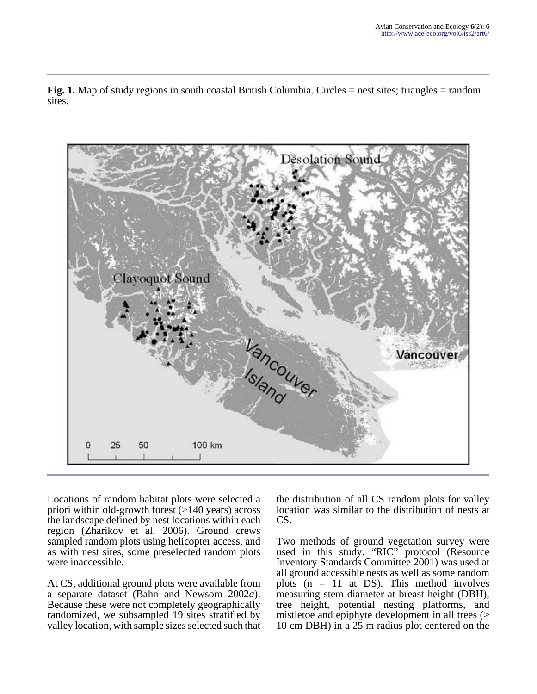**Fig. 1.** Map of study regions in south coastal British Columbia. Circles = nest sites; triangles = random sites.



Locations of random habitat plots were selected a priori within old-growth forest (>140 years) across the landscape defined by nest locations within each region (Zharikov et al. 2006). Ground crews sampled random plots using helicopter access, and as with nest sites, some preselected random plots were inaccessible.

At CS, additional ground plots were available from a separate dataset (Bahn and Newsom 2002*a*). Because these were not completely geographically randomized, we subsampled 19 sites stratified by valley location, with sample sizes selected such that

the distribution of all CS random plots for valley location was similar to the distribution of nests at CS.

Two methods of ground vegetation survey were used in this study. "RIC" protocol (Resource Inventory Standards Committee 2001) was used at all ground accessible nests as well as some random plots  $(n = 11$  at DS). This method involves measuring stem diameter at breast height (DBH), tree height, potential nesting platforms, and mistletoe and epiphyte development in all trees (> 10 cm DBH) in a 25 m radius plot centered on the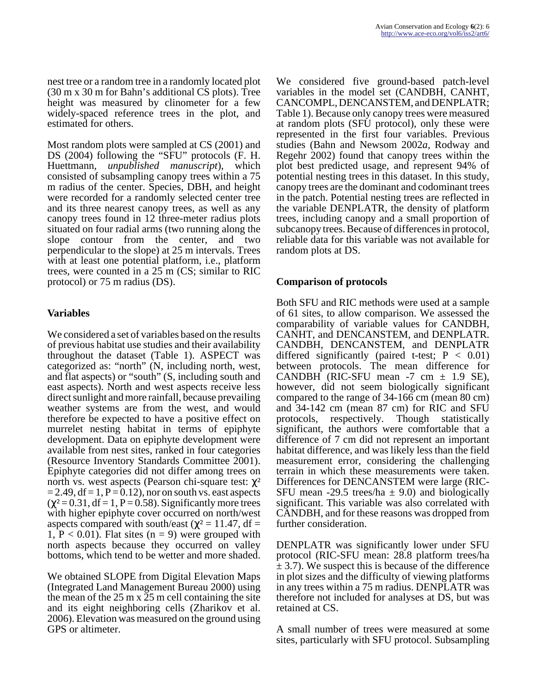nest tree or a random tree in a randomly located plot (30 m x 30 m for Bahn's additional CS plots). Tree height was measured by clinometer for a few widely-spaced reference trees in the plot, and estimated for others.

Most random plots were sampled at CS (2001) and DS (2004) following the "SFU" protocols (F. H. Huettmann, *unpublished manuscript*), which consisted of subsampling canopy trees within a 75 m radius of the center. Species, DBH, and height were recorded for a randomly selected center tree and its three nearest canopy trees, as well as any canopy trees found in 12 three-meter radius plots situated on four radial arms (two running along the slope contour from the center, and two perpendicular to the slope) at 25 m intervals. Trees with at least one potential platform, i.e., platform trees, were counted in a 25 m (CS; similar to RIC protocol) or 75 m radius (DS).

#### **Variables**

We considered a set of variables based on the results of previous habitat use studies and their availability throughout the dataset (Table 1). ASPECT was categorized as: "north" (N, including north, west, and flat aspects) or "south" (S, including south and east aspects). North and west aspects receive less direct sunlight and more rainfall, because prevailing weather systems are from the west, and would therefore be expected to have a positive effect on murrelet nesting habitat in terms of epiphyte development. Data on epiphyte development were available from nest sites, ranked in four categories (Resource Inventory Standards Committee 2001). Epiphyte categories did not differ among trees on north vs. west aspects (Pearson chi-square test:  $χ²$  $= 2.49$ , df  $= 1$ ,  $P = 0.12$ ), nor on south vs. east aspects  $(\chi^2 = 0.31, df = 1, P = 0.58)$ . Significantly more trees with higher epiphyte cover occurred on north/west aspects compared with south/east ( $\chi^2$  = 11.47, df = 1,  $P < 0.01$ ). Flat sites (n = 9) were grouped with north aspects because they occurred on valley bottoms, which tend to be wetter and more shaded.

We obtained SLOPE from Digital Elevation Maps (Integrated Land Management Bureau 2000) using the mean of the  $25 \text{ m} \times 25 \text{ m}$  cell containing the site and its eight neighboring cells (Zharikov et al. 2006). Elevation was measured on the ground using GPS or altimeter.

We considered five ground-based patch-level variables in the model set (CANDBH, CANHT, CANCOMPL, DENCANSTEM, and DENPLATR; Table 1). Because only canopy trees were measured at random plots (SFU protocol), only these were represented in the first four variables. Previous studies (Bahn and Newsom 2002*a*, Rodway and Regehr 2002) found that canopy trees within the plot best predicted usage, and represent 94% of potential nesting trees in this dataset. In this study, canopy trees are the dominant and codominant trees in the patch. Potential nesting trees are reflected in the variable DENPLATR, the density of platform trees, including canopy and a small proportion of subcanopy trees. Because of differences in protocol, reliable data for this variable was not available for random plots at DS.

#### **Comparison of protocols**

Both SFU and RIC methods were used at a sample of 61 sites, to allow comparison. We assessed the comparability of variable values for CANDBH, CANHT, and DENCANSTEM, and DENPLATR. CANDBH, DENCANSTEM, and DENPLATR differed significantly (paired t-test;  $P < 0.01$ ) between protocols. The mean difference for CANDBH (RIC-SFU mean  $-7$  cm  $\pm$  1.9 SE), however, did not seem biologically significant compared to the range of 34-166 cm (mean 80 cm) and 34-142 cm (mean 87 cm) for RIC and SFU protocols, respectively. Though statistically significant, the authors were comfortable that a difference of 7 cm did not represent an important habitat difference, and was likely less than the field measurement error, considering the challenging terrain in which these measurements were taken. Differences for DENCANSTEM were large (RIC-SFU mean -29.5 trees/ha  $\pm$  9.0) and biologically significant. This variable was also correlated with CANDBH, and for these reasons was dropped from further consideration.

DENPLATR was significantly lower under SFU protocol (RIC-SFU mean: 28.8 platform trees/ha  $\pm$  3.7). We suspect this is because of the difference in plot sizes and the difficulty of viewing platforms in any trees within a 75 m radius. DENPLATR was therefore not included for analyses at DS, but was retained at CS.

A small number of trees were measured at some sites, particularly with SFU protocol. Subsampling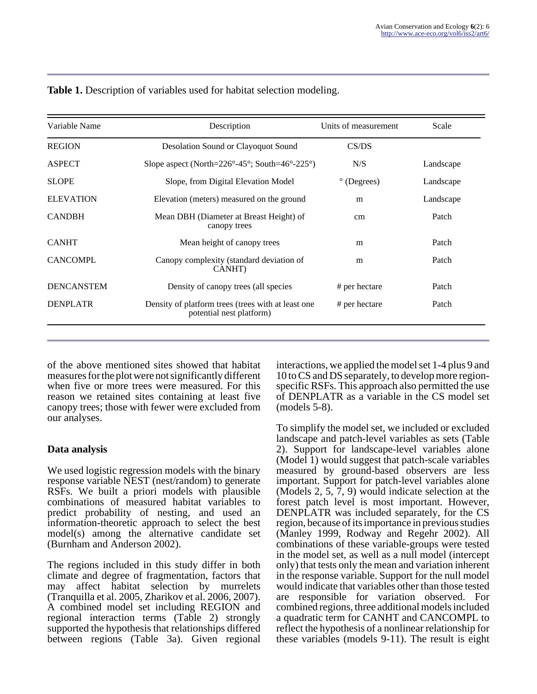| Variable Name     | Description                                                                    | Units of measurement | Scale     |  |
|-------------------|--------------------------------------------------------------------------------|----------------------|-----------|--|
| <b>REGION</b>     | Desolation Sound or Clayoquot Sound                                            | CS/DS                |           |  |
| <b>ASPECT</b>     | Slope aspect (North= $226^{\circ}$ -45°; South= $46^{\circ}$ -225°)<br>N/S     |                      | Landscape |  |
| <b>SLOPE</b>      | Slope, from Digital Elevation Model<br>$^{\circ}$ (Degrees)                    |                      | Landscape |  |
| <b>ELEVATION</b>  | Elevation (meters) measured on the ground                                      |                      | Landscape |  |
| <b>CANDBH</b>     | Mean DBH (Diameter at Breast Height) of<br>canopy trees                        |                      | Patch     |  |
| <b>CANHT</b>      | Mean height of canopy trees                                                    | m                    | Patch     |  |
| <b>CANCOMPL</b>   | Canopy complexity (standard deviation of<br>CANHT)                             |                      | Patch     |  |
| <b>DENCANSTEM</b> | Density of canopy trees (all species)                                          |                      | Patch     |  |
| <b>DENPLATR</b>   | Density of platform trees (trees with at least one<br>potential nest platform) | # per hectare        | Patch     |  |

**Table 1.** Description of variables used for habitat selection modeling.

of the above mentioned sites showed that habitat measures for the plot were not significantly different when five or more trees were measured. For this reason we retained sites containing at least five canopy trees; those with fewer were excluded from our analyses.

# **Data analysis**

We used logistic regression models with the binary response variable NEST (nest/random) to generate RSFs. We built a priori models with plausible combinations of measured habitat variables to predict probability of nesting, and used an information-theoretic approach to select the best model(s) among the alternative candidate set (Burnham and Anderson 2002).

The regions included in this study differ in both climate and degree of fragmentation, factors that may affect habitat selection by murrelets (Tranquilla et al. 2005, Zharikov et al. 2006, 2007). A combined model set including REGION and regional interaction terms (Table 2) strongly supported the hypothesis that relationships differed between regions (Table 3a). Given regional

interactions, we applied the model set 1-4 plus 9 and 10 to CS and DS separately, to develop more regionspecific RSFs. This approach also permitted the use of DENPLATR as a variable in the CS model set (models 5-8).

To simplify the model set, we included or excluded landscape and patch-level variables as sets (Table 2). Support for landscape-level variables alone (Model 1) would suggest that patch-scale variables measured by ground-based observers are less important. Support for patch-level variables alone (Models 2, 5, 7, 9) would indicate selection at the forest patch level is most important. However, DENPLATR was included separately, for the CS region, because of its importance in previous studies (Manley 1999, Rodway and Regehr 2002). All combinations of these variable-groups were tested in the model set, as well as a null model (intercept only) that tests only the mean and variation inherent in the response variable. Support for the null model would indicate that variables other than those tested are responsible for variation observed. For combined regions, three additional models included a quadratic term for CANHT and CANCOMPL to reflect the hypothesis of a nonlinear relationship for these variables (models 9-11). The result is eight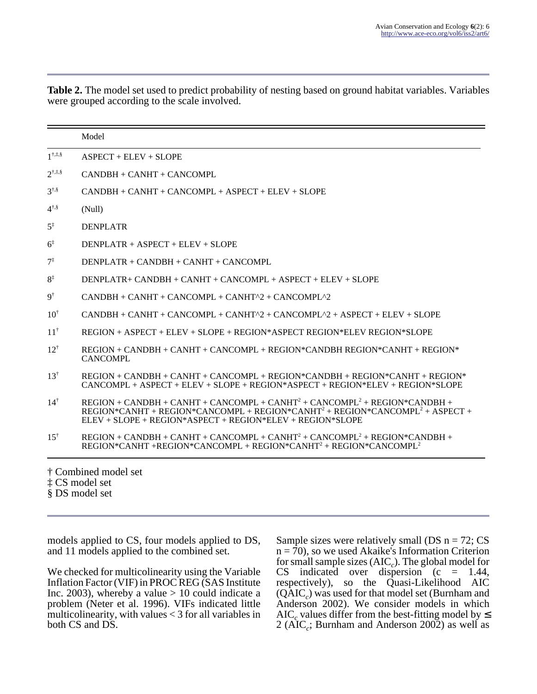|                           | Model                                                                                                                                                                                                                            |
|---------------------------|----------------------------------------------------------------------------------------------------------------------------------------------------------------------------------------------------------------------------------|
| $1^{\dagger,\ddagger,\S}$ | $ASPECT + ELEV + SLOPE$                                                                                                                                                                                                          |
| $2^{+,1.8}$               | $CANDBH + CANHT + CANCONPL$                                                                                                                                                                                                      |
| $3^{+,8}$                 | $CANDBH + CANHT + CANCOMPL + ASPECT + ELEV + SLOPE$                                                                                                                                                                              |
| $4^{\dagger,\S}$          | (Null)                                                                                                                                                                                                                           |
| $5^{\ddagger}$            | <b>DENPLATR</b>                                                                                                                                                                                                                  |
| $6\ddagger$               | $DENPLATR + ASPECT + ELEV + SLOPE$                                                                                                                                                                                               |
| $7^{\ddagger}$            | $DENPLATR + CANDBH + CANHT + CANCOMPL$                                                                                                                                                                                           |
| $8^{\ddagger}$            | DENPLATR+ CANDBH + CANHT + CANCOMPL + ASPECT + ELEV + SLOPE                                                                                                                                                                      |
| $9^{\dagger}$             | $CANDBH + CANHT + CANCOMPL + CANHT^2 + CANCOMPL^2$                                                                                                                                                                               |
| $10^{\dagger}$            | $CANDBH + CANHT + CANCOMPL + CANHT^2 + CANCONPL^2 + ASPECT + ELEV + SLOPE$                                                                                                                                                       |
| $11^{\dagger}$            | REGION + ASPECT + ELEV + SLOPE + REGION*ASPECT REGION*ELEV REGION*SLOPE                                                                                                                                                          |
| $12^{\dagger}$            | $REGION + CANDBH + CANHT + CANCOMPL + REGION * CANDBH REGION * CANHT + REGION *$<br><b>CANCOMPL</b>                                                                                                                              |
| $13^{\dagger}$            | $REGION + CANDBH + CANHT + CANCOMPL + REGION * CANDBH + REGION * CANHT + REGION *$<br>$CANCOMPL + ABPECT + ELEV + SLOPE + REGION*ASPECT + REGION* ELEV + REGION* SLOPE$                                                          |
| $14^{\dagger}$            | $REGION + CANDBH + CANHT + CANCOMPL + CANHT^2 + CANCOMPL^2 + REGION * CANDBH +$<br>$REGION*CANHT + REGION*CANCOMPL + REGION*CANHT^2 + REGION*CANCOMPL^2 + ASPECT +$<br>ELEV + SLOPE + REGION*ASPECT + REGION*ELEV + REGION*SLOPE |
| $15^{\dagger}$            | $REGION + CANDBH + CANHT + CANCOMPL + CANHT^2 + CANCOMPL^2 + REGION *CANDBH +$<br>$REGION*CANHT + REGION*CANCOMPL + REGION*CANHT^2 + REGION*CANCOMPL^2$                                                                          |

**Table 2.** The model set used to predict probability of nesting based on ground habitat variables. Variables were grouped according to the scale involved.

‡ CS model set

§ DS model set

models applied to CS, four models applied to DS, and 11 models applied to the combined set.

We checked for multicolinearity using the Variable Inflation Factor (VIF) in PROC REG (SAS Institute Inc. 2003), whereby a value  $> 10$  could indicate a problem (Neter et al. 1996). VIFs indicated little multicolinearity, with values < 3 for all variables in both CS and DS.

Sample sizes were relatively small ( $DS n = 72$ ; CS  $n = 70$ , so we used Akaike's Information Criterion for small sample sizes (AIC*<sup>c</sup>* ). The global model for CS indicated over dispersion  $(c = 1.44,$ respectively), so the Quasi-Likelihood AIC (QAIC*<sup>c</sup>* ) was used for that model set (Burnham and Anderson 2002). We consider models in which AIC<sub>c</sub> values differ from the best-fitting model by  $\leq$ 2 (AIC*<sup>c</sup>* ; Burnham and Anderson 2002) as well as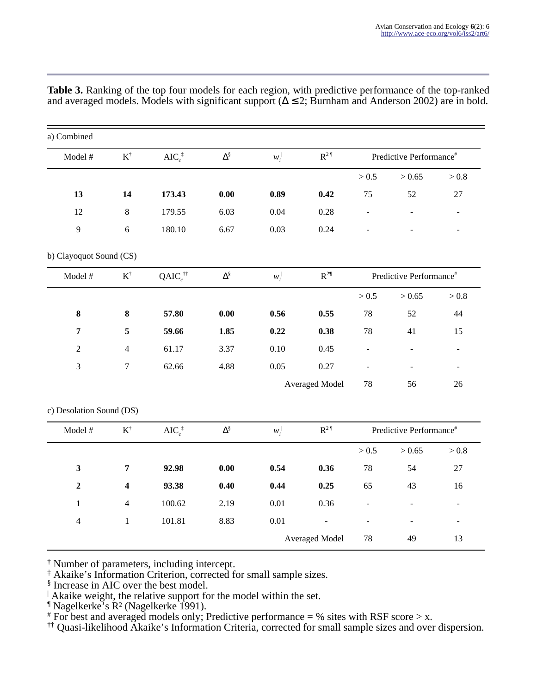| a) Combined              |                         |                       |             |               |                       |                                     |                          |         |
|--------------------------|-------------------------|-----------------------|-------------|---------------|-----------------------|-------------------------------------|--------------------------|---------|
| Model #                  | $\mathbf{K}^\dagger$    | $AIC_c^{\ddag}$       | $\Delta^\S$ | $w_i^{\perp}$ | $R^{2}$               | Predictive Performance <sup>#</sup> |                          |         |
|                          |                         |                       |             |               |                       | > 0.5                               | > 0.65                   | $>0.8$  |
| 13                       | 14                      | 173.43                | 0.00        | 0.89          | 0.42                  | 75                                  | 52                       | 27      |
| 12                       | $\,8\,$                 | 179.55                | 6.03        | 0.04          | 0.28                  |                                     |                          |         |
| 9                        | $\sqrt{6}$              | 180.10                | 6.67        | 0.03          | 0.24                  |                                     |                          |         |
| b) Clayoquot Sound (CS)  |                         |                       |             |               |                       |                                     |                          |         |
| Model #                  | $\mathbf{K}^\dagger$    | $QAICc$ <sup>††</sup> | $\Delta^\S$ | $W_i^{\perp}$ | $\mathbf{R}^{2\P}$    | Predictive Performance <sup>#</sup> |                          |         |
|                          |                         |                       |             |               |                       | > 0.5                               | > 0.65                   | > 0.8   |
| $\bf 8$                  | $\bf 8$                 | 57.80                 | 0.00        | 0.56          | 0.55                  | 78                                  | 52                       | $44$    |
| $\overline{7}$           | $\sqrt{5}$              | 59.66                 | 1.85        | 0.22          | 0.38                  | 78                                  | 41                       | 15      |
| $\overline{2}$           | $\overline{4}$          | 61.17                 | 3.37        | 0.10          | 0.45                  | $\equiv$                            | $\overline{a}$           |         |
| $\mathfrak{Z}$           | $\boldsymbol{7}$        | 62.66                 | 4.88        | 0.05          | 0.27                  | $\overline{a}$                      |                          |         |
|                          |                         |                       |             |               | <b>Averaged Model</b> | 78                                  | 56                       | 26      |
| c) Desolation Sound (DS) |                         |                       |             |               |                       |                                     |                          |         |
| Model #                  | $\mathbf{K}^\dagger$    | $AIC_c^{\ddagger}$    | $\Delta^\S$ | $w_i^{\perp}$ | $R^{2}$               | Predictive Performance <sup>#</sup> |                          |         |
|                          |                         |                       |             |               |                       | > 0.5                               | > 0.65                   | $> 0.8$ |
| $\overline{\mathbf{3}}$  | $\overline{7}$          | 92.98                 | 0.00        | 0.54          | 0.36                  | 78                                  | 54                       | 27      |
| $\overline{2}$           | $\overline{\mathbf{4}}$ | 93.38                 | 0.40        | 0.44          | 0.25                  | 65                                  | 43                       | 16      |
| 1                        | $\overline{4}$          | 100.62                | 2.19        | $0.01\,$      | 0.36                  | $\blacksquare$                      |                          |         |
| $\overline{4}$           | $\mathbf{1}$            | 101.81                | 8.83        | 0.01          |                       | $\blacksquare$                      | $\overline{\phantom{a}}$ |         |
|                          |                         |                       |             |               | <b>Averaged Model</b> | 78                                  | 49                       | 13      |

**Table 3.** Ranking of the top four models for each region, with predictive performance of the top-ranked and averaged models. Models with significant support ( $\Delta \le 2$ ; Burnham and Anderson 2002) are in bold.

† Number of parameters, including intercept. ‡ Akaike's Information Criterion, corrected for small sample sizes.

§ Increase in AIC over the best model.

Akaike weight, the relative support for the model within the set.

¶ Nagelkerke's R² (Nagelkerke 1991). # For best and averaged models only; Predictive performance = % sites with RSF score > x.

†† Quasi-likelihood Akaike's Information Criteria, corrected for small sample sizes and over dispersion.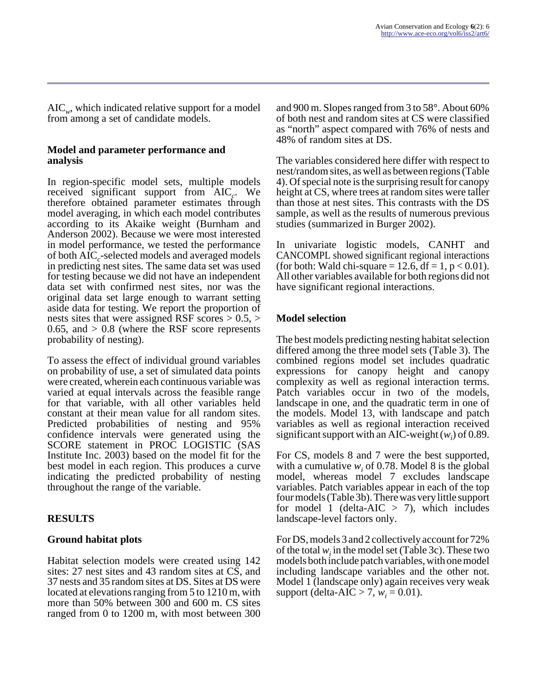AIC*<sup>w</sup>* , which indicated relative support for a model from among a set of candidate models.

#### **Model and parameter performance and analysis**

In region-specific model sets, multiple models received significant support from AIC<sub>c</sub>. We therefore obtained parameter estimates through model averaging, in which each model contributes according to its Akaike weight (Burnham and Anderson 2002). Because we were most interested in model performance, we tested the performance of both AIC*<sup>c</sup>* -selected models and averaged models in predicting nest sites. The same data set was used for testing because we did not have an independent data set with confirmed nest sites, nor was the original data set large enough to warrant setting aside data for testing. We report the proportion of nests sites that were assigned RSF scores  $> 0.5, >$  $0.65$ , and  $> 0.8$  (where the RSF score represents probability of nesting).

To assess the effect of individual ground variables on probability of use, a set of simulated data points were created, wherein each continuous variable was varied at equal intervals across the feasible range for that variable, with all other variables held constant at their mean value for all random sites. Predicted probabilities of nesting and 95% confidence intervals were generated using the SCORE statement in PROC LOGISTIC (SAS Institute Inc. 2003) based on the model fit for the best model in each region. This produces a curve indicating the predicted probability of nesting throughout the range of the variable.

# **RESULTS**

#### **Ground habitat plots**

Habitat selection models were created using 142 sites: 27 nest sites and 43 random sites at CS, and 37 nests and 35 random sites at DS. Sites at DS were located at elevations ranging from 5 to 1210 m, with more than 50% between 300 and 600 m. CS sites ranged from 0 to 1200 m, with most between 300

and 900 m. Slopes ranged from 3 to 58°. About 60% of both nest and random sites at CS were classified as "north" aspect compared with 76% of nests and 48% of random sites at DS.

The variables considered here differ with respect to nest/random sites, as well as between regions (Table 4). Of special note is the surprising result for canopy height at CS, where trees at random sites were taller than those at nest sites. This contrasts with the DS sample, as well as the results of numerous previous studies (summarized in Burger 2002).

In univariate logistic models, CANHT and CANCOMPL showed significant regional interactions (for both: Wald chi-square  $= 12.6$ , df  $= 1$ , p  $< 0.01$ ). All other variables available for both regions did not have significant regional interactions.

#### **Model selection**

The best models predicting nesting habitat selection differed among the three model sets (Table 3). The combined regions model set includes quadratic expressions for canopy height and canopy complexity as well as regional interaction terms. Patch variables occur in two of the models, landscape in one, and the quadratic term in one of the models. Model 13, with landscape and patch variables as well as regional interaction received significant support with an AIC-weight  $(w_i)$  of 0.89.

For CS, models 8 and 7 were the best supported, with a cumulative  $w_i$  of 0.78. Model 8 is the global model, whereas model 7 excludes landscape variables. Patch variables appear in each of the top four models (Table 3b). There was very little support for model 1 (delta-AIC  $>$  7), which includes landscape-level factors only.

For DS, models 3 and 2 collectively account for 72% of the total  $w_i$  in the model set (Table 3c). These two models both include patch variables, with one model including landscape variables and the other not. Model 1 (landscape only) again receives very weak support (delta-AIC  $> 7$ ,  $w_i = 0.01$ ).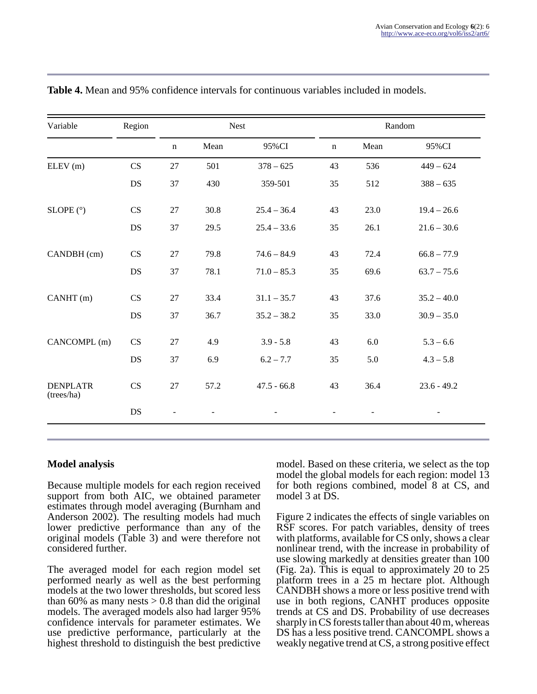| Variable                      | Region | <b>Nest</b> |      |               |             | Random |               |  |  |
|-------------------------------|--------|-------------|------|---------------|-------------|--------|---------------|--|--|
|                               |        | $\mathbf n$ | Mean | 95%CI         | $\mathbf n$ | Mean   | 95%CI         |  |  |
| ELEV(m)                       | CS     | 27          | 501  | $378 - 625$   | 43          | 536    | $449 - 624$   |  |  |
|                               | DS     | 37          | 430  | 359-501       | 35          | 512    | $388 - 635$   |  |  |
| SLOPE $(^{\circ})$            | CS     | 27          | 30.8 | $25.4 - 36.4$ | 43          | 23.0   | $19.4 - 26.6$ |  |  |
|                               | DS     | 37          | 29.5 | $25.4 - 33.6$ | 35          | 26.1   | $21.6 - 30.6$ |  |  |
| CANDBH (cm)                   | CS     | 27          | 79.8 | $74.6 - 84.9$ | 43          | 72.4   | $66.8 - 77.9$ |  |  |
|                               | DS     | 37          | 78.1 | $71.0 - 85.3$ | 35          | 69.6   | $63.7 - 75.6$ |  |  |
| CANHT (m)                     | CS     | 27          | 33.4 | $31.1 - 35.7$ | 43          | 37.6   | $35.2 - 40.0$ |  |  |
|                               | DS     | 37          | 36.7 | $35.2 - 38.2$ | 35          | 33.0   | $30.9 - 35.0$ |  |  |
| CANCOMPL (m)                  | CS     | 27          | 4.9  | $3.9 - 5.8$   | 43          | 6.0    | $5.3 - 6.6$   |  |  |
|                               | DS     | 37          | 6.9  | $6.2 - 7.7$   | 35          | 5.0    | $4.3 - 5.8$   |  |  |
| <b>DENPLATR</b><br>(trees/ha) | CS     | 27          | 57.2 | $47.5 - 66.8$ | 43          | 36.4   | $23.6 - 49.2$ |  |  |
|                               | DS     |             |      |               |             |        |               |  |  |

**Table 4.** Mean and 95% confidence intervals for continuous variables included in models.

#### **Model analysis**

Because multiple models for each region received support from both AIC, we obtained parameter estimates through model averaging (Burnham and Anderson 2002). The resulting models had much lower predictive performance than any of the original models (Table 3) and were therefore not considered further.

The averaged model for each region model set performed nearly as well as the best performing models at the two lower thresholds, but scored less than 60% as many nests  $> 0.8$  than did the original models. The averaged models also had larger 95% confidence intervals for parameter estimates. We use predictive performance, particularly at the highest threshold to distinguish the best predictive

model. Based on these criteria, we select as the top model the global models for each region: model 13 for both regions combined, model 8 at CS, and model 3 at DS.

Figure 2 indicates the effects of single variables on RSF scores. For patch variables, density of trees with platforms, available for CS only, shows a clear nonlinear trend, with the increase in probability of use slowing markedly at densities greater than 100 (Fig. 2a). This is equal to approximately 20 to 25 platform trees in a 25 m hectare plot. Although CANDBH shows a more or less positive trend with use in both regions, CANHT produces opposite trends at CS and DS. Probability of use decreases sharply in CS forests taller than about 40 m, whereas DS has a less positive trend. CANCOMPL shows a weakly negative trend at CS, a strong positive effect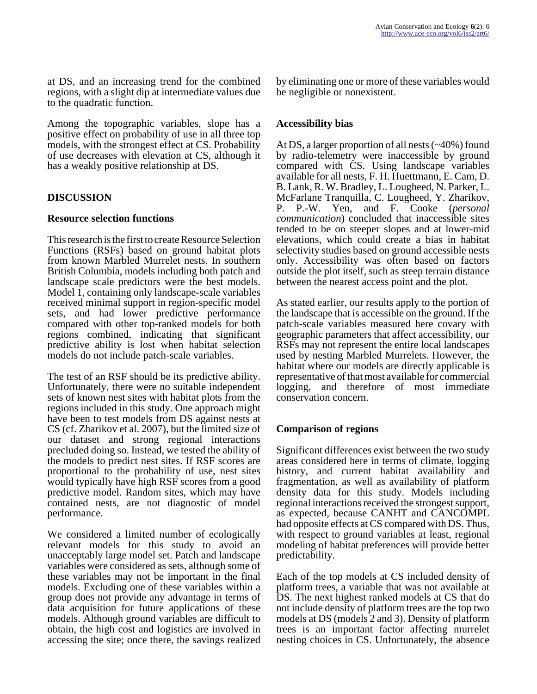at DS, and an increasing trend for the combined regions, with a slight dip at intermediate values due to the quadratic function.

Among the topographic variables, slope has a positive effect on probability of use in all three top models, with the strongest effect at CS. Probability of use decreases with elevation at CS, although it has a weakly positive relationship at DS.

# **DISCUSSION**

#### **Resource selection functions**

This research is the first to create Resource Selection Functions (RSFs) based on ground habitat plots from known Marbled Murrelet nests. In southern British Columbia, models including both patch and landscape scale predictors were the best models. Model 1, containing only landscape-scale variables received minimal support in region-specific model sets, and had lower predictive performance compared with other top-ranked models for both regions combined, indicating that significant predictive ability is lost when habitat selection models do not include patch-scale variables.

The test of an RSF should be its predictive ability. Unfortunately, there were no suitable independent sets of known nest sites with habitat plots from the regions included in this study. One approach might have been to test models from DS against nests at CS (cf. Zharikov et al. 2007), but the limited size of our dataset and strong regional interactions precluded doing so. Instead, we tested the ability of the models to predict nest sites. If RSF scores are proportional to the probability of use, nest sites would typically have high RSF scores from a good predictive model. Random sites, which may have contained nests, are not diagnostic of model performance.

We considered a limited number of ecologically relevant models for this study to avoid an unacceptably large model set. Patch and landscape variables were considered as sets, although some of these variables may not be important in the final models. Excluding one of these variables within a group does not provide any advantage in terms of data acquisition for future applications of these models. Although ground variables are difficult to obtain, the high cost and logistics are involved in accessing the site; once there, the savings realized

by eliminating one or more of these variables would be negligible or nonexistent.

## **Accessibility bias**

At DS, a larger proportion of all nests (~40%) found by radio-telemetry were inaccessible by ground compared with CS. Using landscape variables available for all nests, F. H. Huettmann, E. Cam, D. B. Lank, R. W. Bradley, L. Lougheed, N. Parker, L. McFarlane Tranquilla, C. Lougheed, Y. Zharikov, P. P.-W. Yen, and F. Cooke (*personal communication*) concluded that inaccessible sites tended to be on steeper slopes and at lower-mid elevations, which could create a bias in habitat selectivity studies based on ground accessible nests only. Accessibility was often based on factors outside the plot itself, such as steep terrain distance between the nearest access point and the plot.

As stated earlier, our results apply to the portion of the landscape that is accessible on the ground. If the patch-scale variables measured here covary with geographic parameters that affect accessibility, our RSFs may not represent the entire local landscapes used by nesting Marbled Murrelets. However, the habitat where our models are directly applicable is representative of that most available for commercial logging, and therefore of most immediate conservation concern.

#### **Comparison of regions**

Significant differences exist between the two study areas considered here in terms of climate, logging history, and current habitat availability and fragmentation, as well as availability of platform density data for this study. Models including regional interactions received the strongest support, as expected, because CANHT and CANCOMPL had opposite effects at CS compared with DS. Thus, with respect to ground variables at least, regional modeling of habitat preferences will provide better predictability.

Each of the top models at CS included density of platform trees, a variable that was not available at DS. The next highest ranked models at CS that do not include density of platform trees are the top two models at DS (models 2 and 3). Density of platform trees is an important factor affecting murrelet nesting choices in CS. Unfortunately, the absence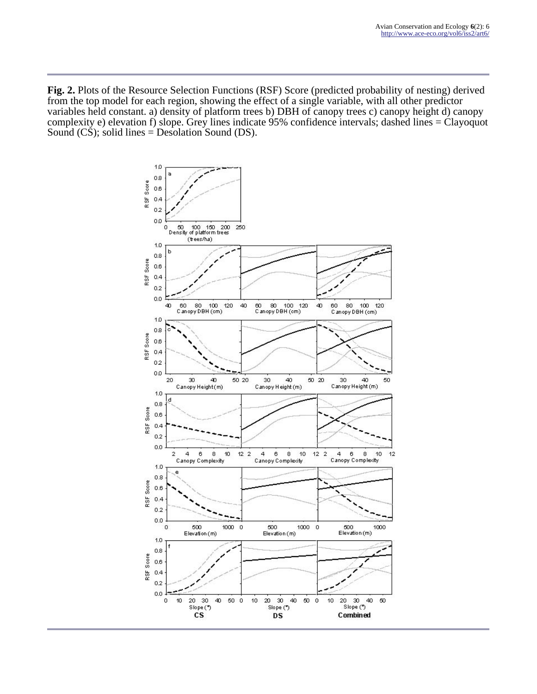**Fig. 2.** Plots of the Resource Selection Functions (RSF) Score (predicted probability of nesting) derived from the top model for each region, showing the effect of a single variable, with all other predictor variables held constant. a) density of platform trees b) DBH of canopy trees c) canopy height d) canopy complexity e) elevation f) slope. Grey lines indicate 95% confidence intervals; dashed lines = Clayoquot Sound (CS); solid lines = Desolation Sound (DS).

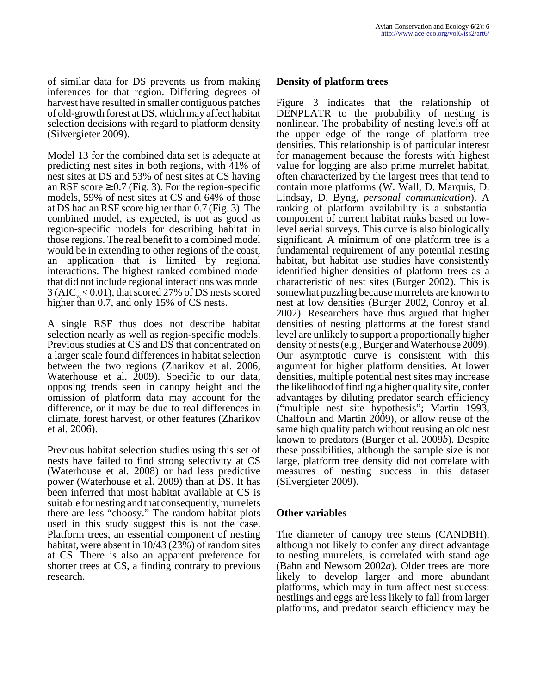of similar data for DS prevents us from making inferences for that region. Differing degrees of harvest have resulted in smaller contiguous patches of old-growth forest at DS, which may affect habitat selection decisions with regard to platform density (Silvergieter 2009).

Model 13 for the combined data set is adequate at predicting nest sites in both regions, with 41% of nest sites at DS and 53% of nest sites at CS having an RSF score  $\geq$  0.7 (Fig. 3). For the region-specific models, 59% of nest sites at CS and 64% of those at DS had an RSF score higher than 0.7 (Fig. 3). The combined model, as expected, is not as good as region-specific models for describing habitat in those regions. The real benefit to a combined model would be in extending to other regions of the coast, an application that is limited by regional interactions. The highest ranked combined model that did not include regional interactions was model  $3 (AIC_w < 0.01)$ , that scored 27% of DS nests scored higher than 0.7, and only 15% of CS nests.

A single RSF thus does not describe habitat selection nearly as well as region-specific models. Previous studies at CS and DS that concentrated on a larger scale found differences in habitat selection between the two regions (Zharikov et al. 2006, Waterhouse et al. 2009). Specific to our data, opposing trends seen in canopy height and the omission of platform data may account for the difference, or it may be due to real differences in climate, forest harvest, or other features (Zharikov et al. 2006).

Previous habitat selection studies using this set of nests have failed to find strong selectivity at CS (Waterhouse et al. 2008) or had less predictive power (Waterhouse et al. 2009) than at DS. It has been inferred that most habitat available at CS is suitable for nesting and that consequently, murrelets there are less "choosy." The random habitat plots used in this study suggest this is not the case. Platform trees, an essential component of nesting habitat, were absent in 10/43 (23%) of random sites at CS. There is also an apparent preference for shorter trees at CS, a finding contrary to previous research.

#### **Density of platform trees**

Figure 3 indicates that the relationship of DENPLATR to the probability of nesting is nonlinear. The probability of nesting levels off at the upper edge of the range of platform tree densities. This relationship is of particular interest for management because the forests with highest value for logging are also prime murrelet habitat, often characterized by the largest trees that tend to contain more platforms (W. Wall, D. Marquis, D. Lindsay, D. Byng, *personal communication*). A ranking of platform availability is a substantial component of current habitat ranks based on lowlevel aerial surveys. This curve is also biologically significant. A minimum of one platform tree is a fundamental requirement of any potential nesting habitat, but habitat use studies have consistently identified higher densities of platform trees as a characteristic of nest sites (Burger 2002). This is somewhat puzzling because murrelets are known to nest at low densities (Burger 2002, Conroy et al. 2002). Researchers have thus argued that higher densities of nesting platforms at the forest stand level are unlikely to support a proportionally higher density of nests (e.g., Burger and Waterhouse 2009). Our asymptotic curve is consistent with this argument for higher platform densities. At lower densities, multiple potential nest sites may increase the likelihood of finding a higher quality site, confer advantages by diluting predator search efficiency ("multiple nest site hypothesis"; Martin 1993, Chalfoun and Martin 2009), or allow reuse of the same high quality patch without reusing an old nest known to predators (Burger et al. 2009*b*). Despite these possibilities, although the sample size is not large, platform tree density did not correlate with measures of nesting success in this dataset (Silvergieter 2009).

#### **Other variables**

The diameter of canopy tree stems (CANDBH), although not likely to confer any direct advantage to nesting murrelets, is correlated with stand age (Bahn and Newsom 2002*a*). Older trees are more likely to develop larger and more abundant platforms, which may in turn affect nest success: nestlings and eggs are less likely to fall from larger platforms, and predator search efficiency may be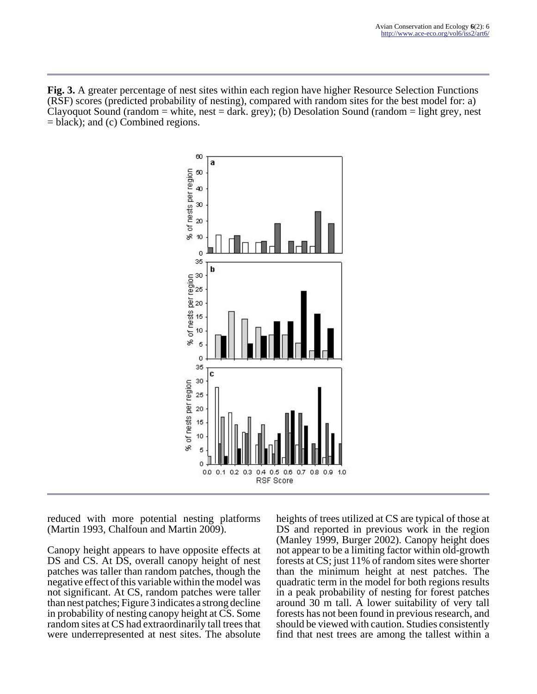**Fig. 3.** A greater percentage of nest sites within each region have higher Resource Selection Functions (RSF) scores (predicted probability of nesting), compared with random sites for the best model for: a) Clayoquot Sound (random  $=$  white, nest  $=$  dark. grey); (b) Desolation Sound (random  $=$  light grey, nest = black); and (c) Combined regions.



reduced with more potential nesting platforms (Martin 1993, Chalfoun and Martin 2009).

Canopy height appears to have opposite effects at DS and CS. At DS, overall canopy height of nest patches was taller than random patches, though the negative effect of this variable within the model was not significant. At CS, random patches were taller than nest patches; Figure 3 indicates a strong decline in probability of nesting canopy height at CS. Some random sites at CS had extraordinarily tall trees that were underrepresented at nest sites. The absolute

heights of trees utilized at CS are typical of those at DS and reported in previous work in the region (Manley 1999, Burger 2002). Canopy height does not appear to be a limiting factor within old-growth forests at CS; just 11% of random sites were shorter than the minimum height at nest patches. The quadratic term in the model for both regions results in a peak probability of nesting for forest patches around 30 m tall. A lower suitability of very tall forests has not been found in previous research, and should be viewed with caution. Studies consistently find that nest trees are among the tallest within a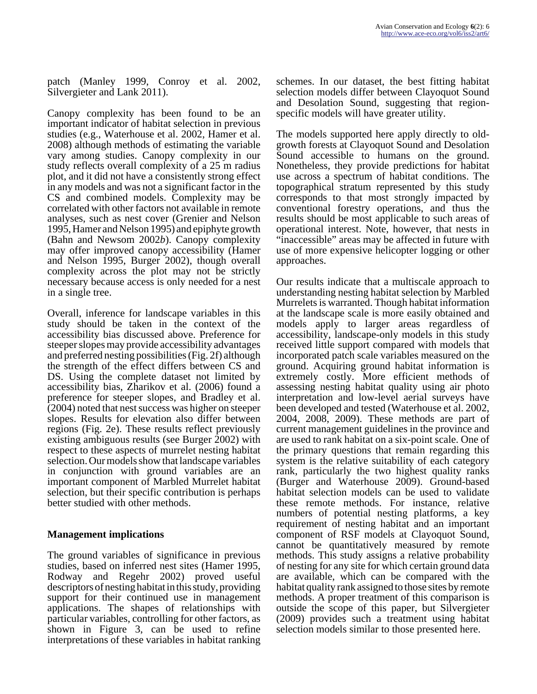patch (Manley 1999, Conroy et al. 2002, Silvergieter and Lank 2011).

Canopy complexity has been found to be an important indicator of habitat selection in previous studies (e.g., Waterhouse et al. 2002, Hamer et al. 2008) although methods of estimating the variable vary among studies. Canopy complexity in our study reflects overall complexity of a 25 m radius plot, and it did not have a consistently strong effect in any models and was not a significant factor in the CS and combined models. Complexity may be correlated with other factors not available in remote analyses, such as nest cover (Grenier and Nelson 1995, Hamer and Nelson 1995) and epiphyte growth (Bahn and Newsom 2002*b*). Canopy complexity may offer improved canopy accessibility (Hamer and Nelson 1995, Burger 2002), though overall complexity across the plot may not be strictly necessary because access is only needed for a nest in a single tree.

Overall, inference for landscape variables in this study should be taken in the context of the accessibility bias discussed above. Preference for steeper slopes may provide accessibility advantages and preferred nesting possibilities (Fig. 2f) although the strength of the effect differs between CS and DS. Using the complete dataset not limited by accessibility bias, Zharikov et al. (2006) found a preference for steeper slopes, and Bradley et al. (2004) noted that nest success was higher on steeper slopes. Results for elevation also differ between regions (Fig. 2e). These results reflect previously existing ambiguous results (see Burger 2002) with respect to these aspects of murrelet nesting habitat selection. Our models show that landscape variables in conjunction with ground variables are an important component of Marbled Murrelet habitat selection, but their specific contribution is perhaps better studied with other methods.

#### **Management implications**

The ground variables of significance in previous studies, based on inferred nest sites (Hamer 1995, Rodway and Regehr 2002) proved useful descriptors of nesting habitat in this study, providing support for their continued use in management applications. The shapes of relationships with particular variables, controlling for other factors, as shown in Figure 3, can be used to refine interpretations of these variables in habitat ranking

schemes. In our dataset, the best fitting habitat selection models differ between Clayoquot Sound and Desolation Sound, suggesting that regionspecific models will have greater utility.

The models supported here apply directly to oldgrowth forests at Clayoquot Sound and Desolation Sound accessible to humans on the ground. Nonetheless, they provide predictions for habitat use across a spectrum of habitat conditions. The topographical stratum represented by this study corresponds to that most strongly impacted by conventional forestry operations, and thus the results should be most applicable to such areas of operational interest. Note, however, that nests in "inaccessible" areas may be affected in future with use of more expensive helicopter logging or other approaches.

Our results indicate that a multiscale approach to understanding nesting habitat selection by Marbled Murrelets is warranted. Though habitat information at the landscape scale is more easily obtained and models apply to larger areas regardless of accessibility, landscape-only models in this study received little support compared with models that incorporated patch scale variables measured on the ground. Acquiring ground habitat information is extremely costly. More efficient methods of assessing nesting habitat quality using air photo interpretation and low-level aerial surveys have been developed and tested (Waterhouse et al. 2002, 2004, 2008, 2009). These methods are part of current management guidelines in the province and are used to rank habitat on a six-point scale. One of the primary questions that remain regarding this system is the relative suitability of each category rank, particularly the two highest quality ranks (Burger and Waterhouse 2009). Ground-based habitat selection models can be used to validate these remote methods. For instance, relative numbers of potential nesting platforms, a key requirement of nesting habitat and an important component of RSF models at Clayoquot Sound, cannot be quantitatively measured by remote methods. This study assigns a relative probability of nesting for any site for which certain ground data are available, which can be compared with the habitat quality rank assigned to those sites by remote methods. A proper treatment of this comparison is outside the scope of this paper, but Silvergieter (2009) provides such a treatment using habitat selection models similar to those presented here.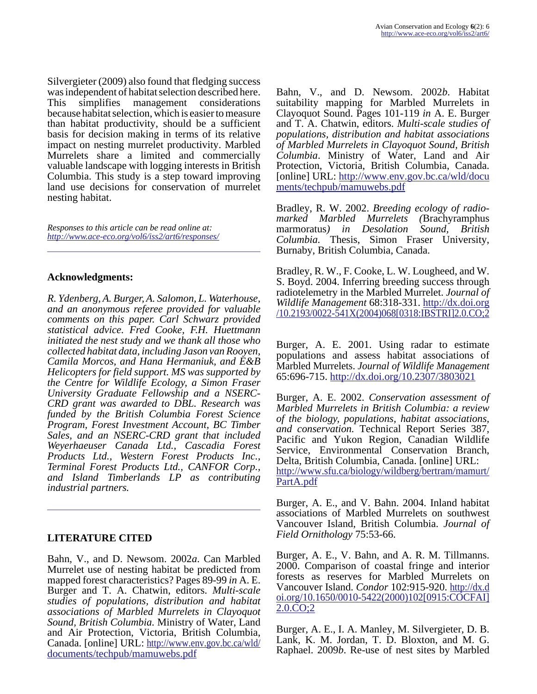Silvergieter (2009) also found that fledging success was independent of habitat selection described here.<br>This simplifies management considerations management considerations because habitat selection, which is easier to measure than habitat productivity, should be a sufficient basis for decision making in terms of its relative impact on nesting murrelet productivity. Marbled Murrelets share a limited and commercially valuable landscape with logging interests in British Columbia. This study is a step toward improving land use decisions for conservation of murrelet nesting habitat.

*Responses to this article can be read online at: <http://www.ace-eco.org/vol6/iss2/art6/responses/>*

#### **Acknowledgments:**

*R. Ydenberg, A. Burger, A. Salomon, L. Waterhouse, and an anonymous referee provided for valuable comments on this paper. Carl Schwarz provided statistical advice. Fred Cooke, F.H. Huettmann initiated the nest study and we thank all those who collected habitat data, including Jason van Rooyen, Camila Morcos, and Hana Hermaniuk, and E&B Helicopters for field support. MS was supported by the Centre for Wildlife Ecology, a Simon Fraser University Graduate Fellowship and a NSERC-CRD grant was awarded to DBL. Research was funded by the British Columbia Forest Science Program, Forest Investment Account, BC Timber Sales, and an NSERC-CRD grant that included Weyerhaeuser Canada Ltd., Cascadia Forest Products Ltd., Western Forest Products Inc., Terminal Forest Products Ltd., CANFOR Corp., and Island Timberlands LP as contributing industrial partners.*

#### **LITERATURE CITED**

Bahn, V., and D. Newsom. 2002*a*. Can Marbled Murrelet use of nesting habitat be predicted from mapped forest characteristics? Pages 89-99 *in* A. E. Burger and T. A. Chatwin, editors. *Multi-scale studies of populations, distribution and habitat associations of Marbled Murrelets in Clayoquot Sound, British Columbia.* Ministry of Water, Land and Air Protection, Victoria, British Columbia, Canada. [online] URL: [http://www.env.gov.bc.ca/wld/](http://www.env.gov.bc.ca/wld/documents/techpub/mamuwebs.pdf) [documents/techpub/mamuwebs.pdf](http://www.env.gov.bc.ca/wld/documents/techpub/mamuwebs.pdf)

Bahn, V., and D. Newsom. 2002*b*. Habitat suitability mapping for Marbled Murrelets in Clayoquot Sound. Pages 101-119 *in* A. E. Burger and T. A. Chatwin, editors. *Multi-scale studies of populations, distribution and habitat associations of Marbled Murrelets in Clayoquot Sound, British Columbia*. Ministry of Water, Land and Air Protection, Victoria, British Columbia, Canada. [online] URL: [http://www.env.gov.bc.ca/wld/docu](http://www.env.gov.bc.ca/wld/documents/techpub/mamuwebs.pdf) [ments/techpub/mamuwebs.pdf](http://www.env.gov.bc.ca/wld/documents/techpub/mamuwebs.pdf)

Bradley, R. W. 2002. *Breeding ecology of radiomarked Marbled Murrelets (*Brachyramphus marmoratus*)* in Desolation *Columbia.* Thesis, Simon Fraser University, Burnaby, British Columbia, Canada.

Bradley, R. W., F. Cooke, L. W. Lougheed, and W. S. Boyd. 2004. Inferring breeding success through radiotelemetry in the Marbled Murrelet. *Journal of Wildlife Management* 68:318-331. [http://dx.doi.org](http://dx.doi.org/10.2193/0022-541X(2004)068[0318:IBSTRI]2.0.CO;2) [/10.2193/0022-541X\(2004\)068\[0318:IBSTRI\]2.0.CO;2](http://dx.doi.org/10.2193/0022-541X(2004)068[0318:IBSTRI]2.0.CO;2)

Burger, A. E. 2001. Using radar to estimate populations and assess habitat associations of Marbled Murrelets. *Journal of Wildlife Management* 65:696-715.<http://dx.doi.org/10.2307/3803021>

Burger, A. E. 2002. *Conservation assessment of Marbled Murrelets in British Columbia: a review of the biology, populations, habitat associations, and conservation.* Technical Report Series 387, Pacific and Yukon Region, Canadian Wildlife Service, Environmental Conservation Branch, Delta, British Columbia, Canada. [online] URL: [http://www.sfu.ca/biology/wildberg/bertram/mamurt/](http://www.sfu.ca/biology/wildberg/bertram/mamurt/PartA.pdf) [PartA.pdf](http://www.sfu.ca/biology/wildberg/bertram/mamurt/PartA.pdf)

Burger, A. E., and V. Bahn. 2004. Inland habitat associations of Marbled Murrelets on southwest Vancouver Island, British Columbia. *Journal of Field Ornithology* 75:53-66.

Burger, A. E., V. Bahn, and A. R. M. Tillmanns. 2000. Comparison of coastal fringe and interior forests as reserves for Marbled Murrelets on Vancouver Island. *Condor* 102:915-920. [http://dx.d](http://dx.doi.org/10.1650/0010-5422(2000)102[0915:COCFAI]2.0.CO;2) oi.org/10.1650/0010-5422(2000)102[0915:COCFAI] [2.0.CO;2](http://dx.doi.org/10.1650/0010-5422(2000)102[0915:COCFAI]2.0.CO;2)

Burger, A. E., I. A. Manley, M. Silvergieter, D. B. Lank, K. M. Jordan, T. D. Bloxton, and M. G. Raphael. 2009*b*. Re-use of nest sites by Marbled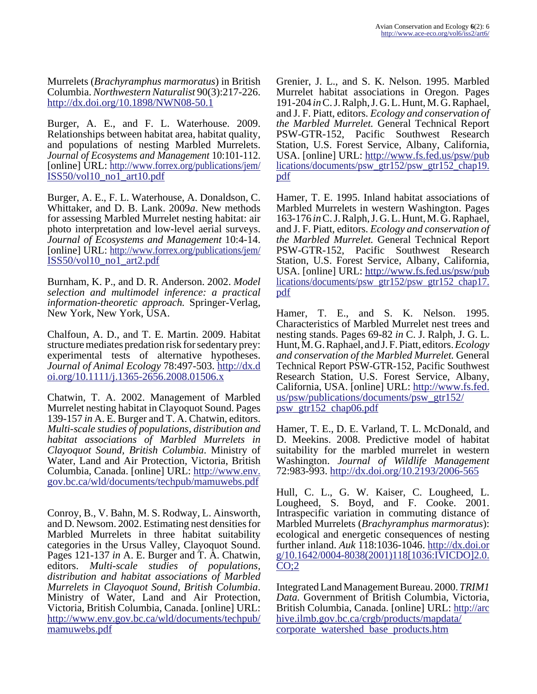Murrelets (*Brachyramphus marmoratus*) in British Columbia. *Northwestern Naturalist* 90(3):217-226. <http://dx.doi.org/10.1898/NWN08-50.1>

Burger, A. E., and F. L. Waterhouse. 2009. Relationships between habitat area, habitat quality, and populations of nesting Marbled Murrelets. *Journal of Ecosystems and Management* 10:101-112. [online] URL: [http://www.forrex.org/publications/jem/](http://www.forrex.org/publications/jem/ISS50/vol10_no1_art10.pdf) [ISS50/vol10\\_no1\\_art10.pdf](http://www.forrex.org/publications/jem/ISS50/vol10_no1_art10.pdf)

Burger, A. E., F. L. Waterhouse, A. Donaldson, C. Whittaker, and D. B. Lank. 2009*a*. New methods for assessing Marbled Murrelet nesting habitat: air photo interpretation and low-level aerial surveys. *Journal of Ecosystems and Management* 10:4-14. [online] URL: [http://www.forrex.org/publications/jem/](http://www.forrex.org/publications/jem/ISS50/vol10_no1_art2.pdf) [ISS50/vol10\\_no1\\_art2.pdf](http://www.forrex.org/publications/jem/ISS50/vol10_no1_art2.pdf)

Burnham, K. P., and D. R. Anderson. 2002. *Model selection and multimodel inference: a practical information-theoretic approach.* Springer-Verlag, New York, New York, USA.

Chalfoun, A. D., and T. E. Martin. 2009. Habitat structure mediates predation risk for sedentary prey: experimental tests of alternative hypotheses. *Journal of Animal Ecology* 78:497-503. [http://dx.d](http://dx.doi.org/10.1111/j.1365-2656.2008.01506.x) [oi.org/10.1111/j.1365-2656.2008.01506.x](http://dx.doi.org/10.1111/j.1365-2656.2008.01506.x)

Chatwin, T. A. 2002. Management of Marbled Murrelet nesting habitat in Clayoquot Sound. Pages 139-157 *in* A. E. Burger and T. A. Chatwin, editors. *Multi-scale studies of populations, distribution and habitat associations of Marbled Murrelets in Clayoquot Sound, British Columbia*. Ministry of Water, Land and Air Protection, Victoria, British Columbia, Canada. [online] URL: [http://www.env.](http://www.env.gov.bc.ca/wld/documents/techpub/mamuwebs.pdf) [gov.bc.ca/wld/documents/techpub/mamuwebs.pdf](http://www.env.gov.bc.ca/wld/documents/techpub/mamuwebs.pdf)

Conroy, B., V. Bahn, M. S. Rodway, L. Ainsworth, and D. Newsom. 2002. Estimating nest densities for Marbled Murrelets in three habitat suitability categories in the Ursus Valley, Clayoquot Sound. Pages 121-137 *in* A. E. Burger and T. A. Chatwin, editors. *Multi-scale studies of populations, distribution and habitat associations of Marbled Murrelets in Clayoquot Sound, British Columbia*. Ministry of Water, Land and Air Protection, Victoria, British Columbia, Canada. [online] URL: [http://www.env.gov.bc.ca/wld/documents/techpub/](http://www.env.gov.bc.ca/wld/documents/techpub/mamuwebs.pdf) [mamuwebs.pdf](http://www.env.gov.bc.ca/wld/documents/techpub/mamuwebs.pdf)

Grenier, J. L., and S. K. Nelson. 1995. Marbled Murrelet habitat associations in Oregon. Pages 191-204 *in* C. J. Ralph, J. G. L. Hunt, M. G. Raphael, and J. F. Piatt, editors. *Ecology and conservation of the Marbled Murrelet.* General Technical Report PSW-GTR-152, Pacific Southwest Research Station, U.S. Forest Service, Albany, California, USA. [online] URL: [http://www.fs.fed.us/psw/pub](http://www.fs.fed.us/psw/publications/documents/psw_gtr152/psw_gtr152_chap19.pdf) lications/documents/psw\_gtr152/psw\_gtr152\_chap19. [pdf](http://www.fs.fed.us/psw/publications/documents/psw_gtr152/psw_gtr152_chap19.pdf)

Hamer, T. E. 1995. Inland habitat associations of Marbled Murrelets in western Washington. Pages 163-176 *in* C. J. Ralph, J. G. L. Hunt, M. G. Raphael, and J. F. Piatt, editors. *Ecology and conservation of the Marbled Murrelet.* General Technical Report PSW-GTR-152, Pacific Southwest Research Station, U.S. Forest Service, Albany, California, USA. [online] URL: [http://www.fs.fed.us/psw/pub](http://www.fs.fed.us/psw/publications/documents/psw_gtr152/psw_gtr152_chap17.pdf) lications/documents/psw\_gtr152/psw\_gtr152\_chap17. [pdf](http://www.fs.fed.us/psw/publications/documents/psw_gtr152/psw_gtr152_chap17.pdf)

Hamer, T. E., and S. K. Nelson. 1995. Characteristics of Marbled Murrelet nest trees and nesting stands. Pages 69-82 *in* C. J. Ralph, J. G. L. Hunt, M. G. Raphael, and J. F. Piatt, editors. *Ecology and conservation of the Marbled Murrelet.* General Technical Report PSW-GTR-152, Pacific Southwest Research Station, U.S. Forest Service, Albany, California, USA. [online] URL: [http://www.fs.fed.](http://www.fs.fed.us/psw/publications/documents/psw_gtr152/psw_gtr152_chap06.pdf) us/psw/publications/documents/psw\_gtr152/ [psw\\_gtr152\\_chap06.pdf](http://www.fs.fed.us/psw/publications/documents/psw_gtr152/psw_gtr152_chap06.pdf)

Hamer, T. E., D. E. Varland, T. L. McDonald, and D. Meekins. 2008. Predictive model of habitat suitability for the marbled murrelet in western Washington. *Journal of Wildlife Management* 72:983-993.<http://dx.doi.org/10.2193/2006-565>

Hull, C. L., G. W. Kaiser, C. Lougheed, L. Lougheed, S. Boyd, and F. Cooke. 2001. Intraspecific variation in commuting distance of Marbled Murrelets (*Brachyramphus marmoratus*): ecological and energetic consequences of nesting further inland. *Auk* 118:1036-1046. [http://dx.doi.or](http://dx.doi.org/10.1642/0004-8038(2001)118[1036:IVICDO]2.0.CO;2) g/10.1642/0004-8038(2001)118[1036:IVICDO]2.0. [CO;2](http://dx.doi.org/10.1642/0004-8038(2001)118[1036:IVICDO]2.0.CO;2)

Integrated Land Management Bureau. 2000. *TRIM1 Data.* Government of British Columbia, Victoria, British Columbia, Canada. [online] URL: [http://arc](http://archive.ilmb.gov.bc.ca/crgb/products/mapdata/corporate_watershed_base_products.htm) hive.ilmb.gov.bc.ca/crgb/products/mapdata/ [corporate\\_watershed\\_base\\_products.htm](http://archive.ilmb.gov.bc.ca/crgb/products/mapdata/corporate_watershed_base_products.htm)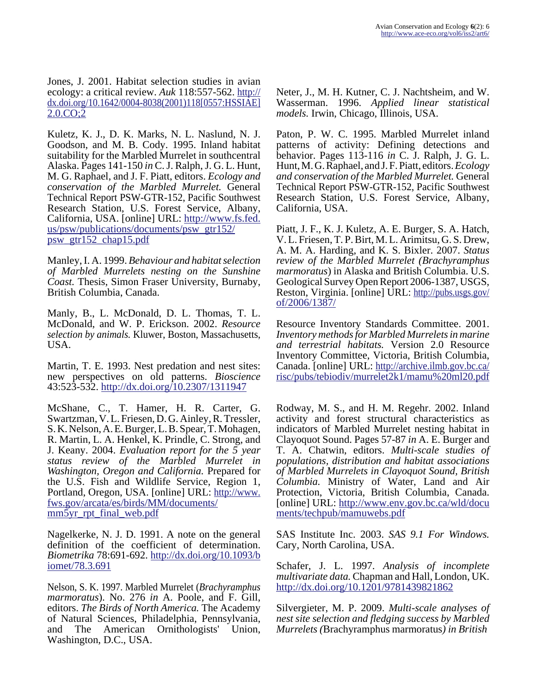Jones, J. 2001. Habitat selection studies in avian ecology: a critical review. *Auk* 118:557-562. [http://](http://dx.doi.org/10.1642/0004-8038(2001)118[0557:HSSIAE]2.0.CO;2) dx.doi.org/10.1642/0004-8038(2001)118[0557:HSSIAE] [2.0.CO;2](http://dx.doi.org/10.1642/0004-8038(2001)118[0557:HSSIAE]2.0.CO;2)

Kuletz, K. J., D. K. Marks, N. L. Naslund, N. J. Goodson, and M. B. Cody. 1995. Inland habitat suitability for the Marbled Murrelet in southcentral Alaska. Pages 141-150 *in* C. J. Ralph, J. G. L. Hunt, M. G. Raphael, and J. F. Piatt, editors. *Ecology and conservation of the Marbled Murrelet.* General Technical Report PSW-GTR-152, Pacific Southwest Research Station, U.S. Forest Service, Albany, California, USA. [online] URL: [http://www.fs.fed.](http://www.fs.fed.us/psw/publications/documents/psw_gtr152/psw_gtr152_chap15.pdf) us/psw/publications/documents/psw\_gtr152/ [psw\\_gtr152\\_chap15.pdf](http://www.fs.fed.us/psw/publications/documents/psw_gtr152/psw_gtr152_chap15.pdf)

Manley, I. A. 1999. *Behaviour and habitat selection of Marbled Murrelets nesting on the Sunshine Coast.* Thesis, Simon Fraser University, Burnaby, British Columbia, Canada.

Manly, B., L. McDonald, D. L. Thomas, T. L. McDonald, and W. P. Erickson. 2002. *Resource selection by animals.* Kluwer, Boston, Massachusetts, USA.

Martin, T. E. 1993. Nest predation and nest sites: new perspectives on old patterns. *Bioscience* 43:523-532.<http://dx.doi.org/10.2307/1311947>

McShane, C., T. Hamer, H. R. Carter, G. Swartzman, V. L. Friesen, D. G. Ainley, R. Tressler, S. K. Nelson, A. E. Burger, L. B. Spear, T. Mohagen, R. Martin, L. A. Henkel, K. Prindle, C. Strong, and J. Keany. 2004. *Evaluation report for the 5 year status review of the Marbled Murrelet in Washington, Oregon and California.* Prepared for the U.S. Fish and Wildlife Service, Region 1, Portland, Oregon, USA. [online] URL: [http://www.](http://www.fws.gov/arcata/es/birds/MM/documents/mm5yr_rpt_final_web.pdf) fws.gov/arcata/es/birds/MM/documents/ [mm5yr\\_rpt\\_final\\_web.pdf](http://www.fws.gov/arcata/es/birds/MM/documents/mm5yr_rpt_final_web.pdf)

Nagelkerke, N. J. D. 1991. A note on the general definition of the coefficient of determination. *Biometrika* 78:691-692. [http://dx.doi.org/10.1093/b](http://dx.doi.org/10.1093/biomet/78.3.691) [iomet/78.3.691](http://dx.doi.org/10.1093/biomet/78.3.691)

Nelson, S. K. 1997. Marbled Murrelet (*Brachyramphus marmoratus*). No. 276 *in* A. Poole, and F. Gill, editors. *The Birds of North America.* The Academy of Natural Sciences, Philadelphia, Pennsylvania, and The American Ornithologists' Union, Washington, D.C., USA.

Neter, J., M. H. Kutner, C. J. Nachtsheim, and W. Wasserman. 1996. *Applied linear statistical models.* Irwin, Chicago, Illinois, USA.

Paton, P. W. C. 1995. Marbled Murrelet inland patterns of activity: Defining detections and behavior. Pages 113-116 *in* C. J. Ralph, J. G. L. Hunt, M. G. Raphael, and J. F. Piatt, editors. *Ecology and conservation of the Marbled Murrelet.* General Technical Report PSW-GTR-152, Pacific Southwest Research Station, U.S. Forest Service, Albany, California, USA.

Piatt, J. F., K. J. Kuletz, A. E. Burger, S. A. Hatch, V. L. Friesen, T. P. Birt, M. L. Arimitsu, G. S. Drew, A. M. A. Harding, and K. S. Bixler. 2007. *Status review of the Marbled Murrelet (Brachyramphus marmoratus*) in Alaska and British Columbia. U.S. Geological Survey Open Report 2006-1387, USGS, Reston, Virginia. [online] URL: [http://pubs.usgs.gov/](http://pubs.usgs.gov/of/2006/1387/) [of/2006/1387/](http://pubs.usgs.gov/of/2006/1387/)

Resource Inventory Standards Committee. 2001. *Inventory methods for Marbled Murrelets in marine and terrestrial habitats.* Version 2.0 Resource Inventory Committee, Victoria, British Columbia, Canada. [online] URL: [http://archive.ilmb.gov.bc.ca/](http://archive.ilmb.gov.bc.ca/risc/pubs/tebiodiv/murrelet2k1/mamu%20ml20.pdf) [risc/pubs/tebiodiv/murrelet2k1/mamu%20ml20.pdf](http://archive.ilmb.gov.bc.ca/risc/pubs/tebiodiv/murrelet2k1/mamu%20ml20.pdf)

Rodway, M. S., and H. M. Regehr. 2002. Inland activity and forest structural characteristics as indicators of Marbled Murrelet nesting habitat in Clayoquot Sound. Pages 57-87 *in* A. E. Burger and T. A. Chatwin, editors. *Multi-scale studies of populations, distribution and habitat associations of Marbled Murrelets in Clayoquot Sound, British Columbia.* Ministry of Water, Land and Air Protection, Victoria, British Columbia, Canada. [online] URL: [http://www.env.gov.bc.ca/wld/docu](http://www.env.gov.bc.ca/wld/documents/techpub/mamuwebs.pdf) [ments/techpub/mamuwebs.pdf](http://www.env.gov.bc.ca/wld/documents/techpub/mamuwebs.pdf)

SAS Institute Inc. 2003. *SAS 9.1 For Windows.* Cary, North Carolina, USA.

Schafer, J. L. 1997. *Analysis of incomplete multivariate data.* Chapman and Hall, London, UK. <http://dx.doi.org/10.1201/9781439821862>

Silvergieter, M. P. 2009. *Multi-scale analyses of nest site selection and fledging success by Marbled Murrelets (*Brachyramphus marmoratus*) in British*